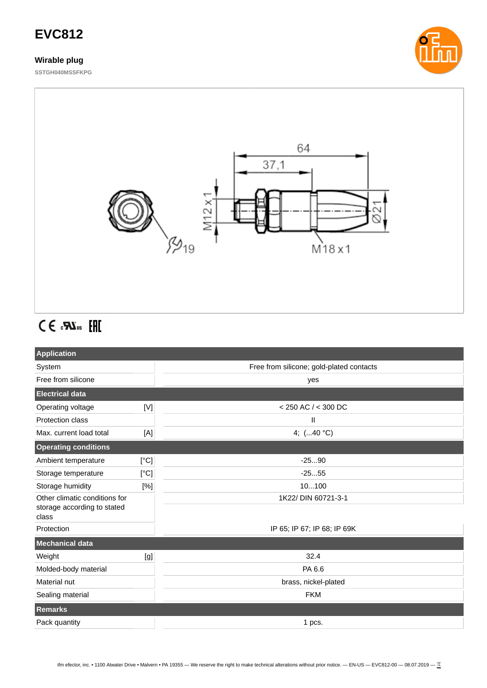## **EVC812**

#### **Wirable plug**

**SSTGH040MSSFKPG**





# $\mathbb{H}$  autrosed  $\mathbb{H}$

| <b>Application</b>                                                    |                                                                                                                                                                                              |                                          |
|-----------------------------------------------------------------------|----------------------------------------------------------------------------------------------------------------------------------------------------------------------------------------------|------------------------------------------|
| System                                                                |                                                                                                                                                                                              | Free from silicone; gold-plated contacts |
| Free from silicone                                                    |                                                                                                                                                                                              | yes                                      |
| <b>Electrical data</b>                                                |                                                                                                                                                                                              |                                          |
| Operating voltage                                                     | $[{\mathsf{V}}] % \centering \includegraphics[width=\textwidth]{images/Traj_25.png} % \caption{The figure shows the results of the estimators in the left and right.} \label{fig:Traj_25} %$ | $<$ 250 AC $/$ < 300 DC                  |
| <b>Protection class</b>                                               |                                                                                                                                                                                              | Ш                                        |
| Max. current load total                                               | [A]                                                                                                                                                                                          | 4; (40 °C)                               |
| <b>Operating conditions</b>                                           |                                                                                                                                                                                              |                                          |
| Ambient temperature                                                   | [°C]                                                                                                                                                                                         | $-2590$                                  |
| Storage temperature                                                   | [°C]                                                                                                                                                                                         | $-2555$                                  |
| Storage humidity                                                      | [%]                                                                                                                                                                                          | 10100                                    |
| Other climatic conditions for<br>storage according to stated<br>class |                                                                                                                                                                                              | 1K22/ DIN 60721-3-1                      |
| Protection                                                            |                                                                                                                                                                                              | IP 65; IP 67; IP 68; IP 69K              |
| <b>Mechanical data</b>                                                |                                                                                                                                                                                              |                                          |
| Weight                                                                | [g]                                                                                                                                                                                          | 32.4                                     |
| Molded-body material                                                  |                                                                                                                                                                                              | PA 6.6                                   |
| Material nut                                                          |                                                                                                                                                                                              | brass, nickel-plated                     |
| Sealing material                                                      |                                                                                                                                                                                              | <b>FKM</b>                               |
| Remarks                                                               |                                                                                                                                                                                              |                                          |
| Pack quantity                                                         |                                                                                                                                                                                              | 1 pcs.                                   |